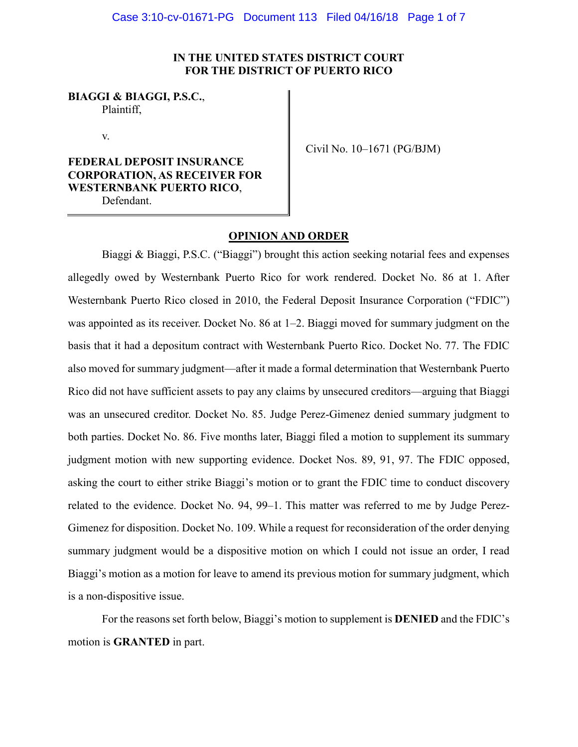# **IN THE UNITED STATES DISTRICT COURT FOR THE DISTRICT OF PUERTO RICO**

**BIAGGI & BIAGGI, P.S.C.**, Plaintiff,

v.

# **FEDERAL DEPOSIT INSURANCE CORPORATION, AS RECEIVER FOR WESTERNBANK PUERTO RICO**, Defendant.

Civil No. 10–1671 (PG/BJM)

# **OPINION AND ORDER**

Biaggi & Biaggi, P.S.C. ("Biaggi") brought this action seeking notarial fees and expenses allegedly owed by Westernbank Puerto Rico for work rendered. Docket No. 86 at 1. After Westernbank Puerto Rico closed in 2010, the Federal Deposit Insurance Corporation ("FDIC") was appointed as its receiver. Docket No. 86 at 1–2. Biaggi moved for summary judgment on the basis that it had a depositum contract with Westernbank Puerto Rico. Docket No. 77. The FDIC also moved for summary judgment—after it made a formal determination that Westernbank Puerto Rico did not have sufficient assets to pay any claims by unsecured creditors—arguing that Biaggi was an unsecured creditor. Docket No. 85. Judge Perez-Gimenez denied summary judgment to both parties. Docket No. 86. Five months later, Biaggi filed a motion to supplement its summary judgment motion with new supporting evidence. Docket Nos. 89, 91, 97. The FDIC opposed, asking the court to either strike Biaggi's motion or to grant the FDIC time to conduct discovery related to the evidence. Docket No. 94, 99–1. This matter was referred to me by Judge Perez-Gimenez for disposition. Docket No. 109. While a request for reconsideration of the order denying summary judgment would be a dispositive motion on which I could not issue an order, I read Biaggi's motion as a motion for leave to amend its previous motion for summary judgment, which is a non-dispositive issue.

For the reasons set forth below, Biaggi's motion to supplement is **DENIED** and the FDIC's motion is **GRANTED** in part.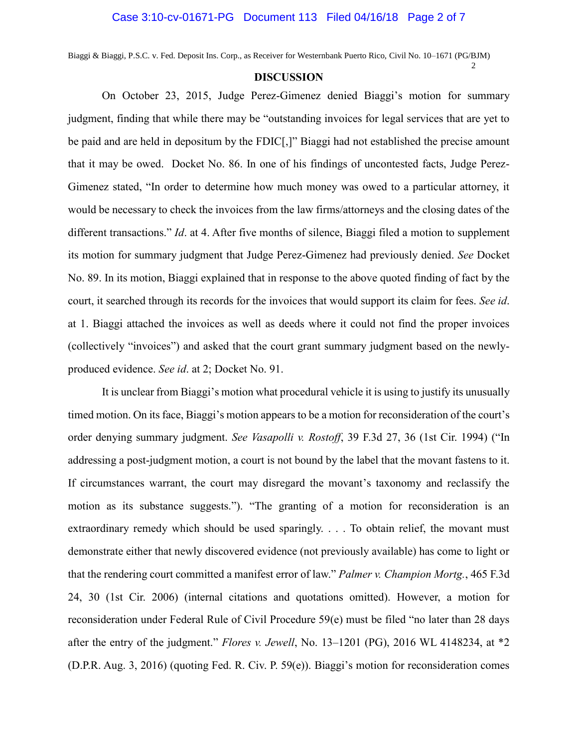Biaggi & Biaggi, P.S.C. v. Fed. Deposit Ins. Corp., as Receiver for Westernbank Puerto Rico, Civil No. 10–1671 (PG/BJM)

## **DISCUSSION**

2

On October 23, 2015, Judge Perez-Gimenez denied Biaggi's motion for summary judgment, finding that while there may be "outstanding invoices for legal services that are yet to be paid and are held in depositum by the FDIC[,]" Biaggi had not established the precise amount that it may be owed. Docket No. 86. In one of his findings of uncontested facts, Judge Perez-Gimenez stated, "In order to determine how much money was owed to a particular attorney, it would be necessary to check the invoices from the law firms/attorneys and the closing dates of the different transactions." *Id*. at 4. After five months of silence, Biaggi filed a motion to supplement its motion for summary judgment that Judge Perez-Gimenez had previously denied. *See* Docket No. 89. In its motion, Biaggi explained that in response to the above quoted finding of fact by the court, it searched through its records for the invoices that would support its claim for fees. *See id*. at 1. Biaggi attached the invoices as well as deeds where it could not find the proper invoices (collectively "invoices") and asked that the court grant summary judgment based on the newlyproduced evidence. *See id*. at 2; Docket No. 91.

It is unclear from Biaggi's motion what procedural vehicle it is using to justify its unusually timed motion. On its face, Biaggi's motion appears to be a motion for reconsideration of the court's order denying summary judgment. *See Vasapolli v. Rostoff*, 39 F.3d 27, 36 (1st Cir. 1994) ("In addressing a post-judgment motion, a court is not bound by the label that the movant fastens to it. If circumstances warrant, the court may disregard the movant's taxonomy and reclassify the motion as its substance suggests."). "The granting of a motion for reconsideration is an extraordinary remedy which should be used sparingly. . . . To obtain relief, the movant must demonstrate either that newly discovered evidence (not previously available) has come to light or that the rendering court committed a manifest error of law." *Palmer v. Champion Mortg.*, 465 F.3d 24, 30 (1st Cir. 2006) (internal citations and quotations omitted). However, a motion for reconsideration under Federal Rule of Civil Procedure 59(e) must be filed "no later than 28 days after the entry of the judgment." *Flores v. Jewell*, No. 13–1201 (PG), 2016 WL 4148234, at \*2 (D.P.R. Aug. 3, 2016) (quoting Fed. R. Civ. P. 59(e)). Biaggi's motion for reconsideration comes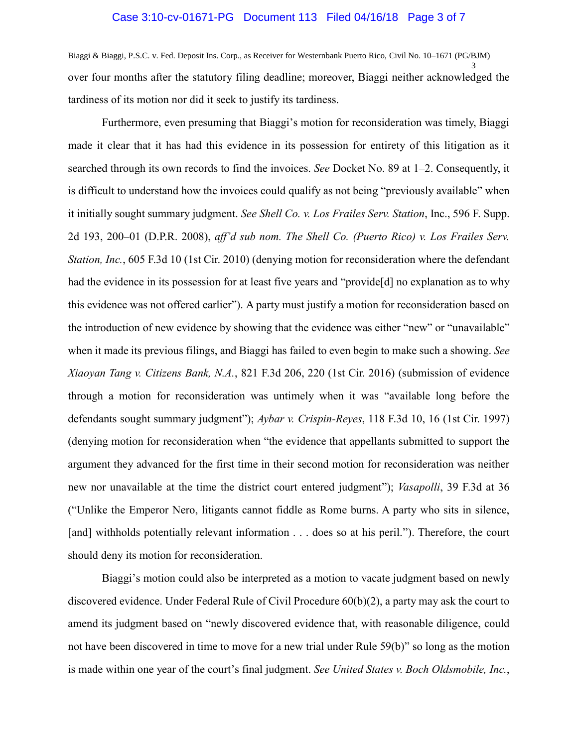## Case 3:10-cv-01671-PG Document 113 Filed 04/16/18 Page 3 of 7

Biaggi & Biaggi, P.S.C. v. Fed. Deposit Ins. Corp., as Receiver for Westernbank Puerto Rico, Civil No. 10–1671 (PG/BJM) 3 over four months after the statutory filing deadline; moreover, Biaggi neither acknowledged the tardiness of its motion nor did it seek to justify its tardiness.

Furthermore, even presuming that Biaggi's motion for reconsideration was timely, Biaggi made it clear that it has had this evidence in its possession for entirety of this litigation as it searched through its own records to find the invoices. *See* Docket No. 89 at 1–2. Consequently, it is difficult to understand how the invoices could qualify as not being "previously available" when it initially sought summary judgment. *See Shell Co. v. Los Frailes Serv. Station*, Inc., 596 F. Supp. 2d 193, 200–01 (D.P.R. 2008), *aff'd sub nom. The Shell Co. (Puerto Rico) v. Los Frailes Serv. Station, Inc.*, 605 F.3d 10 (1st Cir. 2010) (denying motion for reconsideration where the defendant had the evidence in its possession for at least five years and "provide[d] no explanation as to why this evidence was not offered earlier"). A party must justify a motion for reconsideration based on the introduction of new evidence by showing that the evidence was either "new" or "unavailable" when it made its previous filings, and Biaggi has failed to even begin to make such a showing. *See Xiaoyan Tang v. Citizens Bank, N.A.*, 821 F.3d 206, 220 (1st Cir. 2016) (submission of evidence through a motion for reconsideration was untimely when it was "available long before the defendants sought summary judgment"); *Aybar v. Crispin-Reyes*, 118 F.3d 10, 16 (1st Cir. 1997) (denying motion for reconsideration when "the evidence that appellants submitted to support the argument they advanced for the first time in their second motion for reconsideration was neither new nor unavailable at the time the district court entered judgment"); *Vasapolli*, 39 F.3d at 36 ("Unlike the Emperor Nero, litigants cannot fiddle as Rome burns. A party who sits in silence, [and] withholds potentially relevant information . . . does so at his peril."). Therefore, the court should deny its motion for reconsideration.

Biaggi's motion could also be interpreted as a motion to vacate judgment based on newly discovered evidence. Under Federal Rule of Civil Procedure 60(b)(2), a party may ask the court to amend its judgment based on "newly discovered evidence that, with reasonable diligence, could not have been discovered in time to move for a new trial under Rule 59(b)" so long as the motion is made within one year of the court's final judgment. *See United States v. Boch Oldsmobile, Inc.*,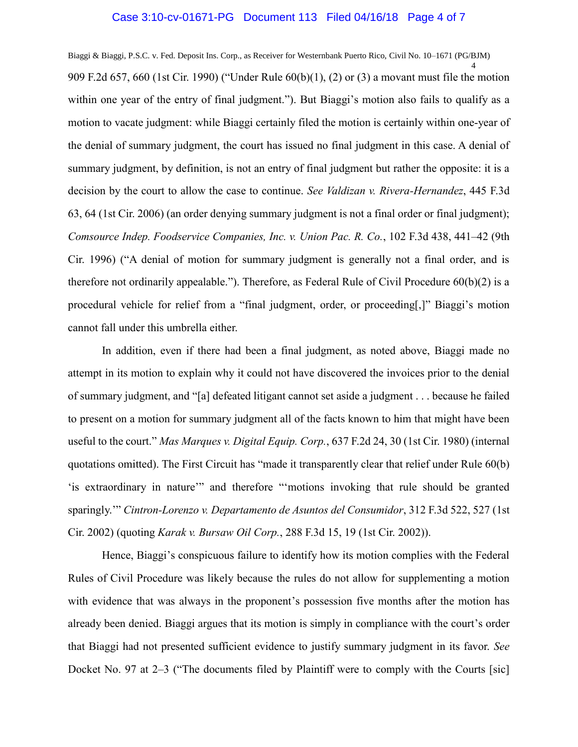### Case 3:10-cv-01671-PG Document 113 Filed 04/16/18 Page 4 of 7

Biaggi & Biaggi, P.S.C. v. Fed. Deposit Ins. Corp., as Receiver for Westernbank Puerto Rico, Civil No. 10–1671 (PG/BJM) 4 909 F.2d 657, 660 (1st Cir. 1990) ("Under Rule 60(b)(1), (2) or (3) a movant must file the motion within one year of the entry of final judgment."). But Biaggi's motion also fails to qualify as a motion to vacate judgment: while Biaggi certainly filed the motion is certainly within one-year of the denial of summary judgment, the court has issued no final judgment in this case. A denial of summary judgment, by definition, is not an entry of final judgment but rather the opposite: it is a decision by the court to allow the case to continue. *See Valdizan v. Rivera-Hernandez*, 445 F.3d 63, 64 (1st Cir. 2006) (an order denying summary judgment is not a final order or final judgment); *Comsource Indep. Foodservice Companies, Inc. v. Union Pac. R. Co.*, 102 F.3d 438, 441–42 (9th Cir. 1996) ("A denial of motion for summary judgment is generally not a final order, and is therefore not ordinarily appealable."). Therefore, as Federal Rule of Civil Procedure 60(b)(2) is a procedural vehicle for relief from a "final judgment, order, or proceeding[,]" Biaggi's motion cannot fall under this umbrella either.

In addition, even if there had been a final judgment, as noted above, Biaggi made no attempt in its motion to explain why it could not have discovered the invoices prior to the denial of summary judgment, and "[a] defeated litigant cannot set aside a judgment . . . because he failed to present on a motion for summary judgment all of the facts known to him that might have been useful to the court." *Mas Marques v. Digital Equip. Corp.*, 637 F.2d 24, 30 (1st Cir. 1980) (internal quotations omitted). The First Circuit has "made it transparently clear that relief under Rule 60(b) 'is extraordinary in nature'" and therefore "'motions invoking that rule should be granted sparingly.'" *Cintron-Lorenzo v. Departamento de Asuntos del Consumidor*, 312 F.3d 522, 527 (1st Cir. 2002) (quoting *Karak v. Bursaw Oil Corp.*, 288 F.3d 15, 19 (1st Cir. 2002)).

Hence, Biaggi's conspicuous failure to identify how its motion complies with the Federal Rules of Civil Procedure was likely because the rules do not allow for supplementing a motion with evidence that was always in the proponent's possession five months after the motion has already been denied. Biaggi argues that its motion is simply in compliance with the court's order that Biaggi had not presented sufficient evidence to justify summary judgment in its favor. *See*  Docket No. 97 at 2–3 ("The documents filed by Plaintiff were to comply with the Courts [sic]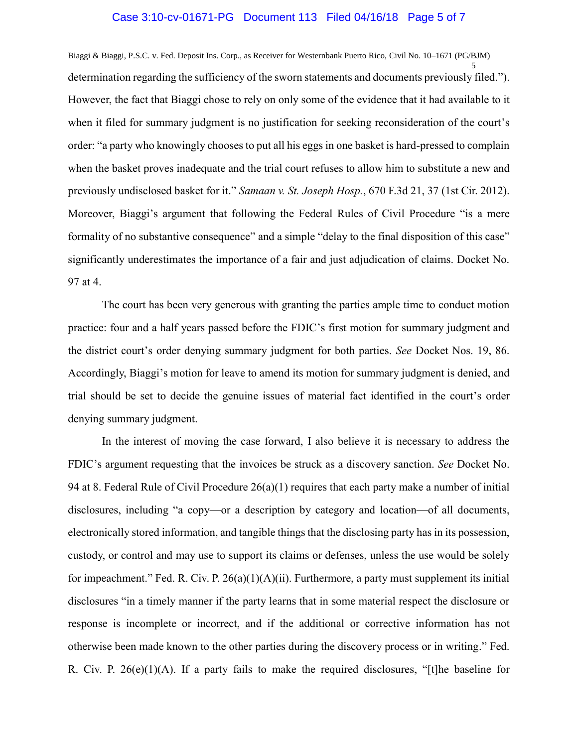## Case 3:10-cv-01671-PG Document 113 Filed 04/16/18 Page 5 of 7

Biaggi & Biaggi, P.S.C. v. Fed. Deposit Ins. Corp., as Receiver for Westernbank Puerto Rico, Civil No. 10–1671 (PG/BJM) 5 determination regarding the sufficiency of the sworn statements and documents previously filed."). However, the fact that Biaggi chose to rely on only some of the evidence that it had available to it when it filed for summary judgment is no justification for seeking reconsideration of the court's order: "a party who knowingly chooses to put all his eggs in one basket is hard-pressed to complain when the basket proves inadequate and the trial court refuses to allow him to substitute a new and previously undisclosed basket for it." *Samaan v. St. Joseph Hosp.*, 670 F.3d 21, 37 (1st Cir. 2012). Moreover, Biaggi's argument that following the Federal Rules of Civil Procedure "is a mere formality of no substantive consequence" and a simple "delay to the final disposition of this case" significantly underestimates the importance of a fair and just adjudication of claims. Docket No. 97 at 4.

The court has been very generous with granting the parties ample time to conduct motion practice: four and a half years passed before the FDIC's first motion for summary judgment and the district court's order denying summary judgment for both parties. *See* Docket Nos. 19, 86. Accordingly, Biaggi's motion for leave to amend its motion for summary judgment is denied, and trial should be set to decide the genuine issues of material fact identified in the court's order denying summary judgment.

In the interest of moving the case forward, I also believe it is necessary to address the FDIC's argument requesting that the invoices be struck as a discovery sanction. *See* Docket No. 94 at 8. Federal Rule of Civil Procedure 26(a)(1) requires that each party make a number of initial disclosures, including "a copy—or a description by category and location—of all documents, electronically stored information, and tangible things that the disclosing party has in its possession, custody, or control and may use to support its claims or defenses, unless the use would be solely for impeachment." Fed. R. Civ. P.  $26(a)(1)(A)(ii)$ . Furthermore, a party must supplement its initial disclosures "in a timely manner if the party learns that in some material respect the disclosure or response is incomplete or incorrect, and if the additional or corrective information has not otherwise been made known to the other parties during the discovery process or in writing." Fed. R. Civ. P. 26(e)(1)(A). If a party fails to make the required disclosures, "[t]he baseline for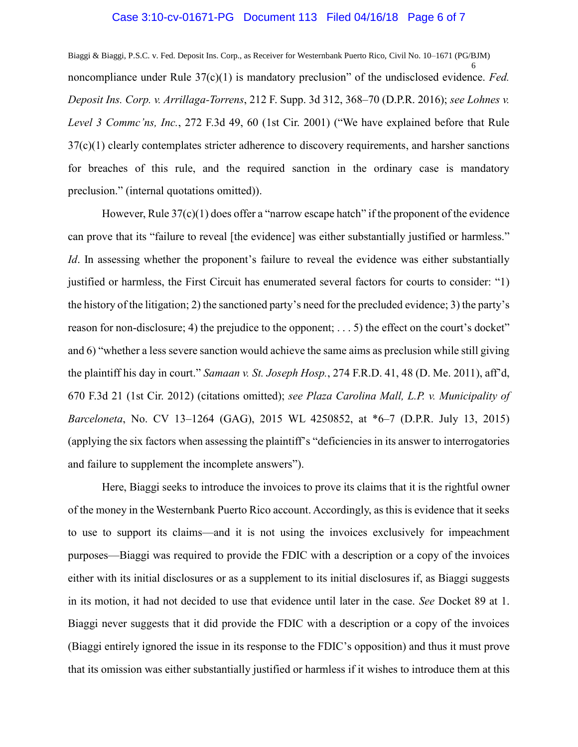## Case 3:10-cv-01671-PG Document 113 Filed 04/16/18 Page 6 of 7

Biaggi & Biaggi, P.S.C. v. Fed. Deposit Ins. Corp., as Receiver for Westernbank Puerto Rico, Civil No. 10–1671 (PG/BJM) 6 noncompliance under Rule 37(c)(1) is mandatory preclusion" of the undisclosed evidence. *Fed. Deposit Ins. Corp. v. Arrillaga-Torrens*, 212 F. Supp. 3d 312, 368–70 (D.P.R. 2016); *see Lohnes v. Level 3 Commc'ns, Inc.*, 272 F.3d 49, 60 (1st Cir. 2001) ("We have explained before that Rule  $37(c)(1)$  clearly contemplates stricter adherence to discovery requirements, and harsher sanctions for breaches of this rule, and the required sanction in the ordinary case is mandatory preclusion." (internal quotations omitted)).

However, Rule 37(c)(1) does offer a "narrow escape hatch" if the proponent of the evidence can prove that its "failure to reveal [the evidence] was either substantially justified or harmless." *Id*. In assessing whether the proponent's failure to reveal the evidence was either substantially justified or harmless, the First Circuit has enumerated several factors for courts to consider: "1) the history of the litigation; 2) the sanctioned party's need for the precluded evidence; 3) the party's reason for non-disclosure; 4) the prejudice to the opponent; . . . 5) the effect on the court's docket" and 6) "whether a less severe sanction would achieve the same aims as preclusion while still giving the plaintiff his day in court." *Samaan v. St. Joseph Hosp.*, 274 F.R.D. 41, 48 (D. Me. 2011), aff'd, 670 F.3d 21 (1st Cir. 2012) (citations omitted); *see Plaza Carolina Mall, L.P. v. Municipality of Barceloneta*, No. CV 13–1264 (GAG), 2015 WL 4250852, at \*6–7 (D.P.R. July 13, 2015) (applying the six factors when assessing the plaintiff's "deficiencies in its answer to interrogatories and failure to supplement the incomplete answers").

Here, Biaggi seeks to introduce the invoices to prove its claims that it is the rightful owner of the money in the Westernbank Puerto Rico account. Accordingly, as this is evidence that it seeks to use to support its claims—and it is not using the invoices exclusively for impeachment purposes—Biaggi was required to provide the FDIC with a description or a copy of the invoices either with its initial disclosures or as a supplement to its initial disclosures if, as Biaggi suggests in its motion, it had not decided to use that evidence until later in the case. *See* Docket 89 at 1. Biaggi never suggests that it did provide the FDIC with a description or a copy of the invoices (Biaggi entirely ignored the issue in its response to the FDIC's opposition) and thus it must prove that its omission was either substantially justified or harmless if it wishes to introduce them at this